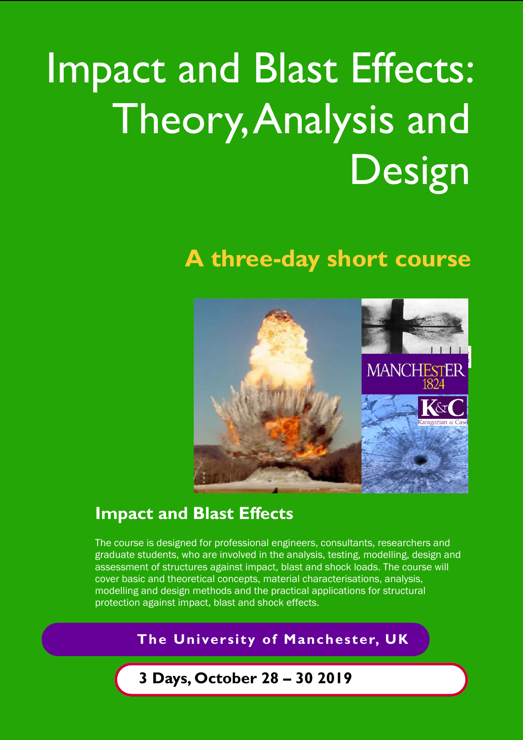# Impact and Blast Effects: Theory, Analysis and Design

# **A three-day short course**



# **Impact and Blast Effects**

The course is designed for professional engineers, consultants, researchers and graduate students, who are involved in the analysis, testing, modelling, design and assessment of structures against impact, blast and shock loads. The course will cover basic and theoretical concepts, material characterisations, analysis, modelling and design methods and the practical applications for structural protection against impact, blast and shock effects.

### **The University of Manchester, UK**

# **3 Days, October 28 – 30 2019**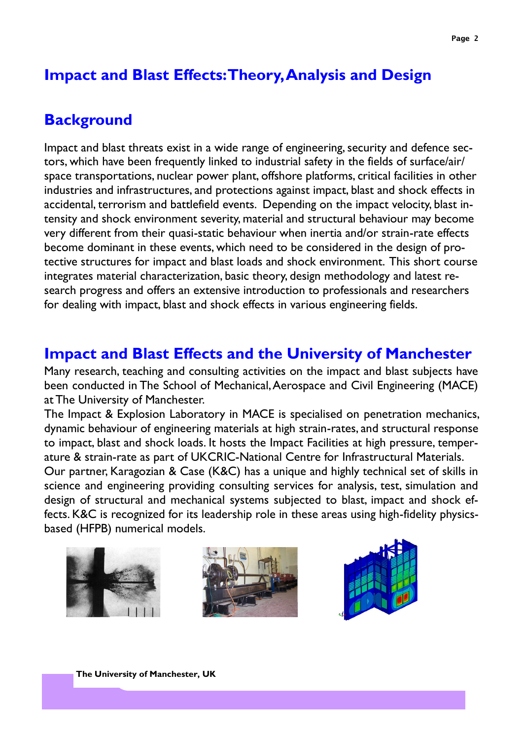## **Impact and Blast Effects: Theory, Analysis and Design**

# **Background**

Impact and blast threats exist in a wide range of engineering, security and defence sectors, which have been frequently linked to industrial safety in the fields of surface/air/ space transportations, nuclear power plant, offshore platforms, critical facilities in other industries and infrastructures, and protections against impact, blast and shock effects in accidental, terrorism and battlefield events. Depending on the impact velocity, blast intensity and shock environment severity, material and structural behaviour may become very different from their quasi-static behaviour when inertia and/or strain-rate effects become dominant in these events, which need to be considered in the design of protective structures for impact and blast loads and shock environment. This short course integrates material characterization, basic theory, design methodology and latest research progress and offers an extensive introduction to professionals and researchers for dealing with impact, blast and shock effects in various engineering fields.

# **Impact and Blast Effects and the University of Manchester**

Many research, teaching and consulting activities on the impact and blast subjects have been conducted in The School of Mechanical, Aerospace and Civil Engineering (MACE) at The University of Manchester.

The Impact & Explosion Laboratory in MACE is specialised on penetration mechanics, dynamic behaviour of engineering materials at high strain-rates, and structural response to impact, blast and shock loads. It hosts the Impact Facilities at high pressure, temperature & strain-rate as part of UKCRIC-National Centre for Infrastructural Materials.

Our partner, Karagozian & Case (K&C) has a unique and highly technical set of skills in science and engineering providing consulting services for analysis, test, simulation and design of structural and mechanical systems subjected to blast, impact and shock effects. K&C is recognized for its leadership role in these areas using high-fidelity physicsbased (HFPB) numerical models.







**The University of Manchester, UK**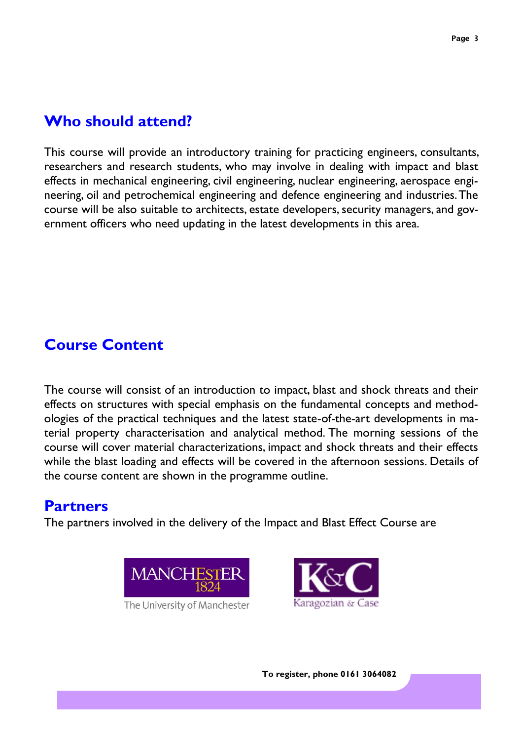### **Who should attend?**

This course will provide an introductory training for practicing engineers, consultants, researchers and research students, who may involve in dealing with impact and blast effects in mechanical engineering, civil engineering, nuclear engineering, aerospace engineering, oil and petrochemical engineering and defence engineering and industries. The course will be also suitable to architects, estate developers, security managers, and government officers who need updating in the latest developments in this area.

# **Course Content**

The course will consist of an introduction to impact, blast and shock threats and their effects on structures with special emphasis on the fundamental concepts and methodologies of the practical techniques and the latest state-of-the-art developments in material property characterisation and analytical method. The morning sessions of the course will cover material characterizations, impact and shock threats and their effects while the blast loading and effects will be covered in the afternoon sessions. Details of the course content are shown in the programme outline.

## **Partners**

The partners involved in the delivery of the Impact and Blast Effect Course are



The University of Manchester

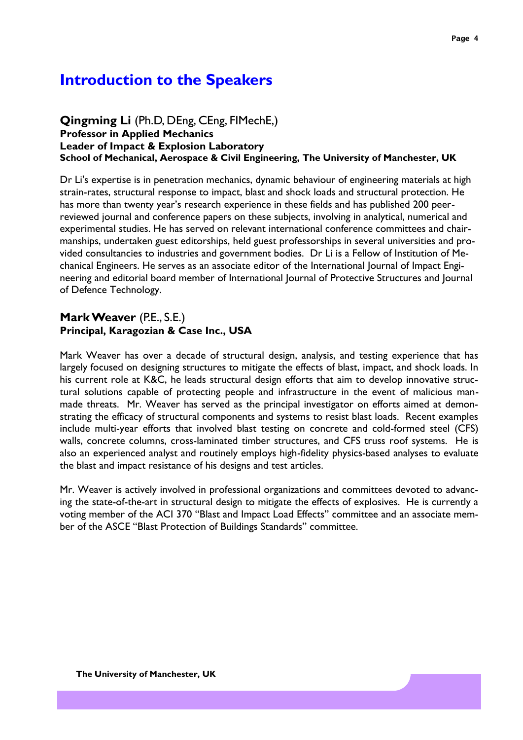## **Introduction to the Speakers**

### **Qingming Li** (Ph.D, DEng, CEng, FIMechE,) **Professor in Applied Mechanics Leader of Impact & Explosion Laboratory School of Mechanical, Aerospace & Civil Engineering, The University of Manchester, UK**

Dr Li's expertise is in penetration mechanics, dynamic behaviour of engineering materials at high strain-rates, structural response to impact, blast and shock loads and structural protection. He has more than twenty year's research experience in these fields and has published 200 peerreviewed journal and conference papers on these subjects, involving in analytical, numerical and experimental studies. He has served on relevant international conference committees and chairmanships, undertaken guest editorships, held guest professorships in several universities and provided consultancies to industries and government bodies. Dr Li is a Fellow of Institution of Mechanical Engineers. He serves as an associate editor of the International Journal of Impact Engineering and editorial board member of International Journal of Protective Structures and Journal of Defence Technology.

### **Mark Weaver** (P.E., S.E.) **Principal, Karagozian & Case Inc., USA**

Mark Weaver has over a decade of structural design, analysis, and testing experience that has largely focused on designing structures to mitigate the effects of blast, impact, and shock loads. In his current role at K&C, he leads structural design efforts that aim to develop innovative structural solutions capable of protecting people and infrastructure in the event of malicious manmade threats. Mr. Weaver has served as the principal investigator on efforts aimed at demonstrating the efficacy of structural components and systems to resist blast loads. Recent examples include multi-year efforts that involved blast testing on concrete and cold-formed steel (CFS) walls, concrete columns, cross-laminated timber structures, and CFS truss roof systems. He is also an experienced analyst and routinely employs high-fidelity physics-based analyses to evaluate the blast and impact resistance of his designs and test articles.

Mr. Weaver is actively involved in professional organizations and committees devoted to advancing the state-of-the-art in structural design to mitigate the effects of explosives. He is currently a voting member of the ACI 370 "Blast and Impact Load Effects" committee and an associate member of the ASCE "Blast Protection of Buildings Standards" committee.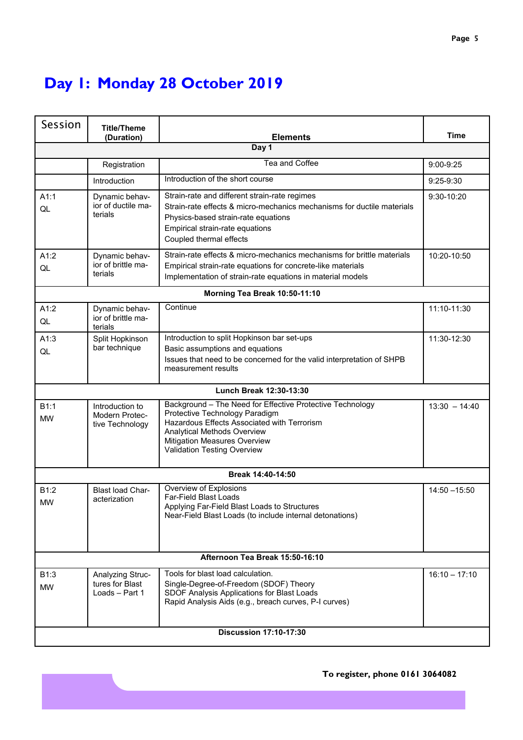# **Day 1: Monday 28 October 2019**

| Session                         | <b>Title/Theme</b><br>(Duration)                      | <b>Elements</b>                                                                                                                                                                                                                          | <b>Time</b>     |  |  |
|---------------------------------|-------------------------------------------------------|------------------------------------------------------------------------------------------------------------------------------------------------------------------------------------------------------------------------------------------|-----------------|--|--|
|                                 |                                                       | Day 1                                                                                                                                                                                                                                    |                 |  |  |
|                                 | Registration                                          | Tea and Coffee                                                                                                                                                                                                                           | 9:00-9:25       |  |  |
|                                 | Introduction                                          | Introduction of the short course                                                                                                                                                                                                         | $9:25-9:30$     |  |  |
| A1:1<br>QL                      | Dynamic behav-<br>ior of ductile ma-<br>terials       | Strain-rate and different strain-rate regimes<br>Strain-rate effects & micro-mechanics mechanisms for ductile materials<br>Physics-based strain-rate equations<br>Empirical strain-rate equations<br>Coupled thermal effects             | 9:30-10:20      |  |  |
| A1:2<br>QL                      | Dynamic behav-<br>ior of brittle ma-<br>terials       | Strain-rate effects & micro-mechanics mechanisms for brittle materials<br>Empirical strain-rate equations for concrete-like materials<br>Implementation of strain-rate equations in material models                                      | 10:20-10:50     |  |  |
|                                 |                                                       | Morning Tea Break 10:50-11:10                                                                                                                                                                                                            |                 |  |  |
| A1:2<br>QL                      | Dynamic behav-<br>ior of brittle ma-<br>terials       | Continue                                                                                                                                                                                                                                 | 11:10-11:30     |  |  |
| A1:3<br>QL                      | Split Hopkinson<br>bar technique                      | Introduction to split Hopkinson bar set-ups<br>Basic assumptions and equations<br>Issues that need to be concerned for the valid interpretation of SHPB<br>measurement results                                                           | 11:30-12:30     |  |  |
|                                 |                                                       | Lunch Break 12:30-13:30                                                                                                                                                                                                                  |                 |  |  |
| B1:1<br><b>MW</b>               | Introduction to<br>Modern Protec-<br>tive Technology  | Background - The Need for Effective Protective Technology<br>Protective Technology Paradigm<br>Hazardous Effects Associated with Terrorism<br>Analytical Methods Overview<br>Mitigation Measures Overview<br>Validation Testing Overview | $13:30 - 14:40$ |  |  |
|                                 |                                                       | Break 14:40-14:50                                                                                                                                                                                                                        |                 |  |  |
| B1:2<br><b>MW</b>               | Blast load Char-<br>acterization                      | Overview of Explosions<br><b>Far-Field Blast Loads</b><br>Applying Far-Field Blast Loads to Structures<br>Near-Field Blast Loads (to include internal detonations)                                                                       | $14:50 - 15:50$ |  |  |
| Afternoon Tea Break 15:50-16:10 |                                                       |                                                                                                                                                                                                                                          |                 |  |  |
| B1:3<br><b>MW</b>               | Analyzing Struc-<br>tures for Blast<br>Loads - Part 1 | Tools for blast load calculation.<br>Single-Degree-of-Freedom (SDOF) Theory<br>SDOF Analysis Applications for Blast Loads<br>Rapid Analysis Aids (e.g., breach curves, P-I curves)                                                       | $16:10 - 17:10$ |  |  |
| <b>Discussion 17:10-17:30</b>   |                                                       |                                                                                                                                                                                                                                          |                 |  |  |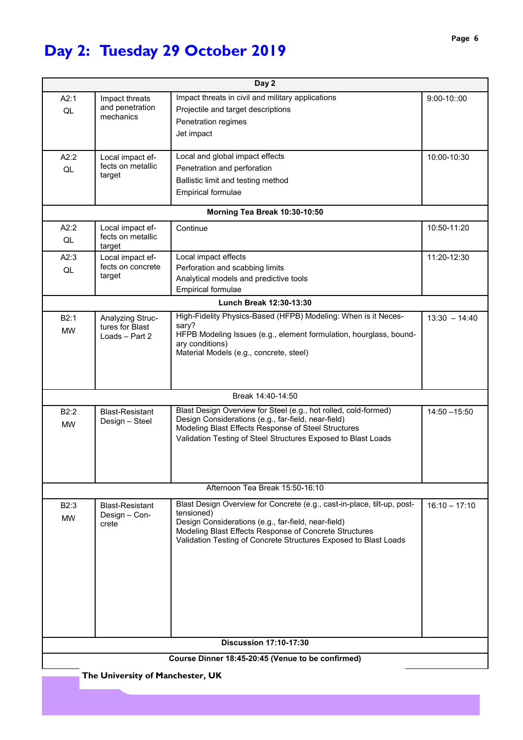# **Day 2: Tuesday 29 October 2019**

| Day 2                                             |                                       |                                                                                                               |                 |  |  |
|---------------------------------------------------|---------------------------------------|---------------------------------------------------------------------------------------------------------------|-----------------|--|--|
| A2:1                                              | Impact threats                        | Impact threats in civil and military applications                                                             | $9:00-10::00$   |  |  |
| QL                                                | and penetration                       | Projectile and target descriptions                                                                            |                 |  |  |
|                                                   | mechanics                             | Penetration regimes                                                                                           |                 |  |  |
|                                                   |                                       | Jet impact                                                                                                    |                 |  |  |
|                                                   |                                       |                                                                                                               |                 |  |  |
| A2:2                                              | Local impact ef-<br>fects on metallic | Local and global impact effects                                                                               | 10:00-10:30     |  |  |
| QL                                                | target                                | Penetration and perforation                                                                                   |                 |  |  |
|                                                   |                                       | Ballistic limit and testing method                                                                            |                 |  |  |
|                                                   |                                       | <b>Empirical formulae</b>                                                                                     |                 |  |  |
|                                                   |                                       | Morning Tea Break 10:30-10:50                                                                                 |                 |  |  |
| A2:2                                              | Local impact ef-                      | Continue                                                                                                      | 10:50-11:20     |  |  |
| QL                                                | fects on metallic<br>target           |                                                                                                               |                 |  |  |
| A2:3                                              | Local impact ef-                      | Local impact effects                                                                                          | 11:20-12:30     |  |  |
| QL                                                | fects on concrete                     | Perforation and scabbing limits                                                                               |                 |  |  |
|                                                   | target                                | Analytical models and predictive tools                                                                        |                 |  |  |
|                                                   |                                       | <b>Empirical formulae</b>                                                                                     |                 |  |  |
|                                                   |                                       | Lunch Break 12:30-13:30                                                                                       |                 |  |  |
| B2:1                                              | Analyzing Struc-                      | High-Fidelity Physics-Based (HFPB) Modeling: When is it Neces-                                                | $13:30 - 14:40$ |  |  |
| <b>MW</b>                                         | tures for Blast<br>Loads - Part 2     | sary?<br>HFPB Modeling Issues (e.g., element formulation, hourglass, bound-                                   |                 |  |  |
|                                                   |                                       | ary conditions)                                                                                               |                 |  |  |
|                                                   |                                       | Material Models (e.g., concrete, steel)                                                                       |                 |  |  |
|                                                   |                                       |                                                                                                               |                 |  |  |
|                                                   |                                       |                                                                                                               |                 |  |  |
|                                                   |                                       | Break 14:40-14:50                                                                                             |                 |  |  |
| B2:2                                              | <b>Blast-Resistant</b>                | Blast Design Overview for Steel (e.g., hot rolled, cold-formed)                                               | $14:50 - 15:50$ |  |  |
| <b>MW</b>                                         | Design - Steel                        | Design Considerations (e.g., far-field, near-field)<br>Modeling Blast Effects Response of Steel Structures    |                 |  |  |
|                                                   |                                       | Validation Testing of Steel Structures Exposed to Blast Loads                                                 |                 |  |  |
|                                                   |                                       |                                                                                                               |                 |  |  |
|                                                   |                                       |                                                                                                               |                 |  |  |
|                                                   |                                       |                                                                                                               |                 |  |  |
|                                                   |                                       | Afternoon Tea Break 15:50-16:10                                                                               |                 |  |  |
| B2:3                                              | <b>Blast-Resistant</b>                | Blast Design Overview for Concrete (e.g., cast-in-place, tilt-up, post-                                       | $16:10 - 17:10$ |  |  |
| <b>MW</b>                                         | Design - Con-                         | tensioned)                                                                                                    |                 |  |  |
|                                                   | crete                                 | Design Considerations (e.g., far-field, near-field)<br>Modeling Blast Effects Response of Concrete Structures |                 |  |  |
|                                                   |                                       | Validation Testing of Concrete Structures Exposed to Blast Loads                                              |                 |  |  |
|                                                   |                                       |                                                                                                               |                 |  |  |
|                                                   |                                       |                                                                                                               |                 |  |  |
|                                                   |                                       |                                                                                                               |                 |  |  |
|                                                   |                                       |                                                                                                               |                 |  |  |
|                                                   |                                       |                                                                                                               |                 |  |  |
|                                                   |                                       |                                                                                                               |                 |  |  |
|                                                   |                                       |                                                                                                               |                 |  |  |
| <b>Discussion 17:10-17:30</b>                     |                                       |                                                                                                               |                 |  |  |
| Course Dinner 18:45-20:45 (Venue to be confirmed) |                                       |                                                                                                               |                 |  |  |
|                                                   | The University of Manchester, UK      |                                                                                                               |                 |  |  |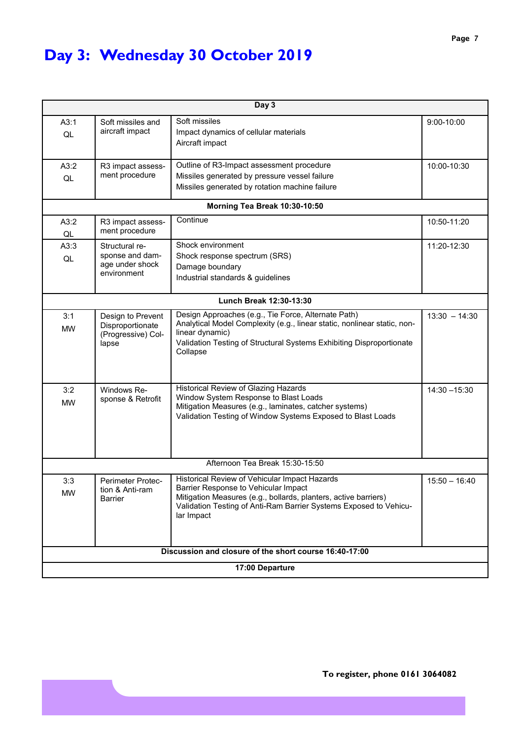# **Day 3: Wednesday 30 October 2019**

| Day 3                           |                                                                      |                                                                                                                                                                                                                                             |                 |  |  |  |
|---------------------------------|----------------------------------------------------------------------|---------------------------------------------------------------------------------------------------------------------------------------------------------------------------------------------------------------------------------------------|-----------------|--|--|--|
| A3:1<br>QL                      | Soft missiles and<br>aircraft impact                                 | Soft missiles<br>Impact dynamics of cellular materials<br>Aircraft impact                                                                                                                                                                   | 9:00-10:00      |  |  |  |
| A3:2<br>QL                      | R3 impact assess-<br>ment procedure                                  | Outline of R3-Impact assessment procedure<br>Missiles generated by pressure vessel failure<br>Missiles generated by rotation machine failure                                                                                                | 10:00-10:30     |  |  |  |
|                                 |                                                                      | Morning Tea Break 10:30-10:50                                                                                                                                                                                                               |                 |  |  |  |
| A3:2<br>QL                      | R3 impact assess-<br>ment procedure                                  | Continue                                                                                                                                                                                                                                    | 10:50-11:20     |  |  |  |
| A3:3<br>QL                      | Structural re-<br>sponse and dam-<br>age under shock<br>environment  | Shock environment<br>Shock response spectrum (SRS)<br>Damage boundary<br>Industrial standards & guidelines                                                                                                                                  | 11:20-12:30     |  |  |  |
|                                 |                                                                      | Lunch Break 12:30-13:30                                                                                                                                                                                                                     |                 |  |  |  |
| 3:1<br><b>MW</b>                | Design to Prevent<br>Disproportionate<br>(Progressive) Col-<br>lapse | Design Approaches (e.g., Tie Force, Alternate Path)<br>Analytical Model Complexity (e.g., linear static, nonlinear static, non-<br>linear dynamic)<br>Validation Testing of Structural Systems Exhibiting Disproportionate<br>Collapse      | $13:30 - 14:30$ |  |  |  |
| 3:2<br><b>MW</b>                | Windows Re-<br>sponse & Retrofit                                     | Historical Review of Glazing Hazards<br>Window System Response to Blast Loads<br>Mitigation Measures (e.g., laminates, catcher systems)<br>Validation Testing of Window Systems Exposed to Blast Loads                                      | $14:30 - 15:30$ |  |  |  |
| Afternoon Tea Break 15:30-15:50 |                                                                      |                                                                                                                                                                                                                                             |                 |  |  |  |
| 3:3<br><b>MW</b>                | Perimeter Protec-<br>tion & Anti-ram<br><b>Barrier</b>               | Historical Review of Vehicular Impact Hazards<br>Barrier Response to Vehicular Impact<br>Mitigation Measures (e.g., bollards, planters, active barriers)<br>Validation Testing of Anti-Ram Barrier Systems Exposed to Vehicu-<br>lar Impact | $15:50 - 16:40$ |  |  |  |
|                                 | Discussion and closure of the short course 16:40-17:00               |                                                                                                                                                                                                                                             |                 |  |  |  |
| 17:00 Departure                 |                                                                      |                                                                                                                                                                                                                                             |                 |  |  |  |

**To register, phone 0161 3064082**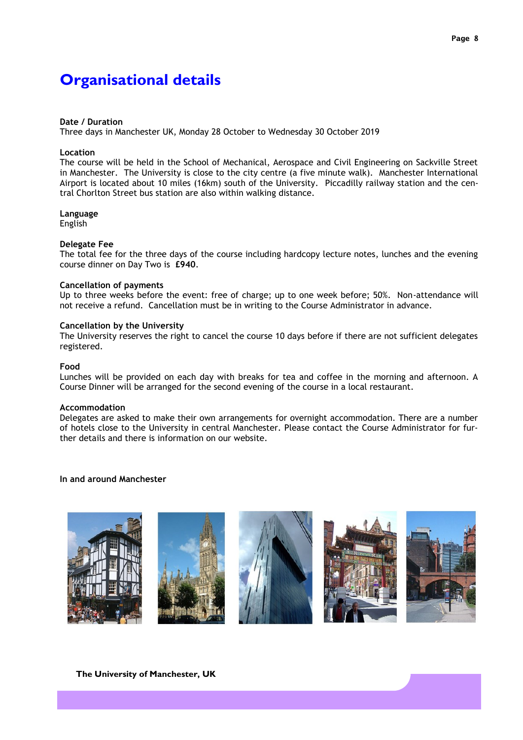# **Organisational details**

#### **Date / Duration**

Three days in Manchester UK, Monday 28 October to Wednesday 30 October 2019

#### **Location**

The course will be held in the School of Mechanical, Aerospace and Civil Engineering on Sackville Street in Manchester. The University is close to the city centre (a five minute walk). Manchester International Airport is located about 10 miles (16km) south of the University. Piccadilly railway station and the central Chorlton Street bus station are also within walking distance.

### **Language**

English

### **Delegate Fee**

The total fee for the three days of the course including hardcopy lecture notes, lunches and the evening course dinner on Day Two is **£940**.

### **Cancellation of payments**

Up to three weeks before the event: free of charge; up to one week before; 50%. Non-attendance will not receive a refund. Cancellation must be in writing to the Course Administrator in advance.

### **Cancellation by the University**

The University reserves the right to cancel the course 10 days before if there are not sufficient delegates registered.

### **Food**

Lunches will be provided on each day with breaks for tea and coffee in the morning and afternoon. A Course Dinner will be arranged for the second evening of the course in a local restaurant.

#### **Accommodation**

Delegates are asked to make their own arrangements for overnight accommodation. There are a number of hotels close to the University in central Manchester. Please contact the Course Administrator for further details and there is information on our website.

**In and around Manchester**